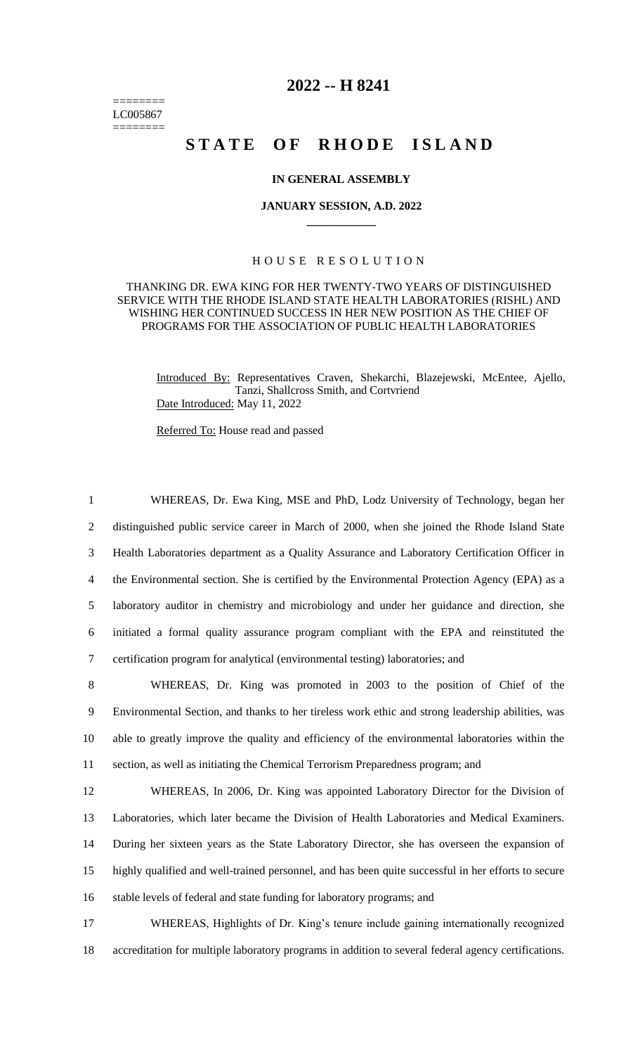======== LC005867 ========

## **2022 -- H 8241**

# STATE OF RHODE ISLAND

### **IN GENERAL ASSEMBLY**

#### **JANUARY SESSION, A.D. 2022 \_\_\_\_\_\_\_\_\_\_\_\_**

### H O U S E R E S O L U T I O N

THANKING DR. EWA KING FOR HER TWENTY-TWO YEARS OF DISTINGUISHED SERVICE WITH THE RHODE ISLAND STATE HEALTH LABORATORIES (RISHL) AND WISHING HER CONTINUED SUCCESS IN HER NEW POSITION AS THE CHIEF OF PROGRAMS FOR THE ASSOCIATION OF PUBLIC HEALTH LABORATORIES

Introduced By: Representatives Craven, Shekarchi, Blazejewski, McEntee, Ajello, Tanzi, Shallcross Smith, and Cortvriend Date Introduced: May 11, 2022

Referred To: House read and passed

 WHEREAS, Dr. Ewa King, MSE and PhD, Lodz University of Technology, began her distinguished public service career in March of 2000, when she joined the Rhode Island State Health Laboratories department as a Quality Assurance and Laboratory Certification Officer in the Environmental section. She is certified by the Environmental Protection Agency (EPA) as a laboratory auditor in chemistry and microbiology and under her guidance and direction, she initiated a formal quality assurance program compliant with the EPA and reinstituted the certification program for analytical (environmental testing) laboratories; and

 WHEREAS, Dr. King was promoted in 2003 to the position of Chief of the Environmental Section, and thanks to her tireless work ethic and strong leadership abilities, was able to greatly improve the quality and efficiency of the environmental laboratories within the section, as well as initiating the Chemical Terrorism Preparedness program; and

 WHEREAS, In 2006, Dr. King was appointed Laboratory Director for the Division of Laboratories, which later became the Division of Health Laboratories and Medical Examiners. During her sixteen years as the State Laboratory Director, she has overseen the expansion of highly qualified and well-trained personnel, and has been quite successful in her efforts to secure stable levels of federal and state funding for laboratory programs; and

17 WHEREAS, Highlights of Dr. King's tenure include gaining internationally recognized 18 accreditation for multiple laboratory programs in addition to several federal agency certifications.